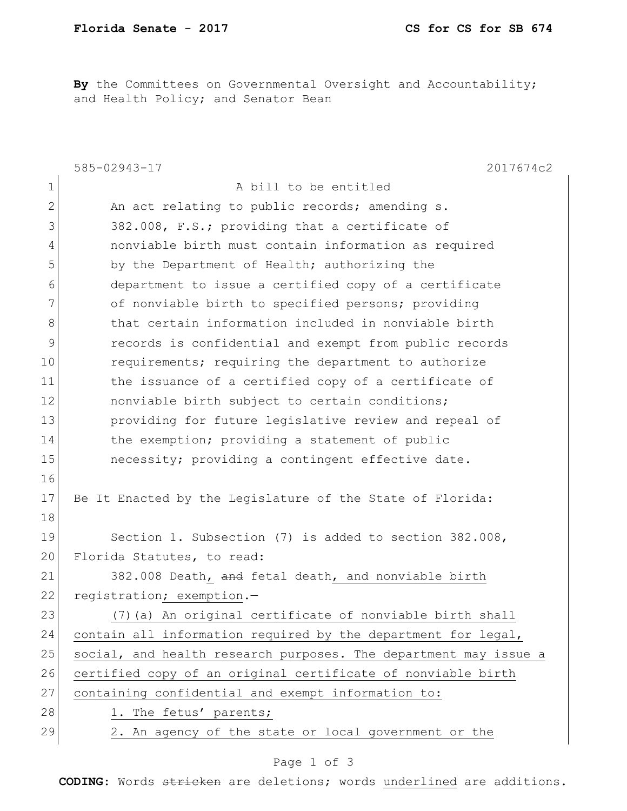By the Committees on Governmental Oversight and Accountability; and Health Policy; and Senator Bean

|                | 585-02943-17<br>2017674c2                                        |
|----------------|------------------------------------------------------------------|
| $\mathbf 1$    | A bill to be entitled                                            |
| $\overline{2}$ | An act relating to public records; amending s.                   |
| 3              | 382.008, F.S.; providing that a certificate of                   |
| 4              | nonviable birth must contain information as required             |
| 5              | by the Department of Health; authorizing the                     |
| 6              | department to issue a certified copy of a certificate            |
| 7              | of nonviable birth to specified persons; providing               |
| 8              | that certain information included in nonviable birth             |
| 9              | records is confidential and exempt from public records           |
| 10             | requirements; requiring the department to authorize              |
| 11             | the issuance of a certified copy of a certificate of             |
| 12             | nonviable birth subject to certain conditions;                   |
| 13             | providing for future legislative review and repeal of            |
| 14             | the exemption; providing a statement of public                   |
| 15             | necessity; providing a contingent effective date.                |
| 16             |                                                                  |
| 17             | Be It Enacted by the Legislature of the State of Florida:        |
| 18             |                                                                  |
| 19             | Section 1. Subsection (7) is added to section 382.008,           |
| 20             | Florida Statutes, to read:                                       |
| 21             | 382.008 Death, and fetal death, and nonviable birth              |
| 22             | registration; exemption.-                                        |
| 23             | (7) (a) An original certificate of nonviable birth shall         |
| 24             | contain all information required by the department for legal,    |
| 25             | social, and health research purposes. The department may issue a |
| 26             | certified copy of an original certificate of nonviable birth     |
| 27             | containing confidential and exempt information to:               |
| 28             | 1. The fetus' parents;                                           |
| 29             | 2. An agency of the state or local government or the             |

## Page 1 of 3

**CODING**: Words stricken are deletions; words underlined are additions.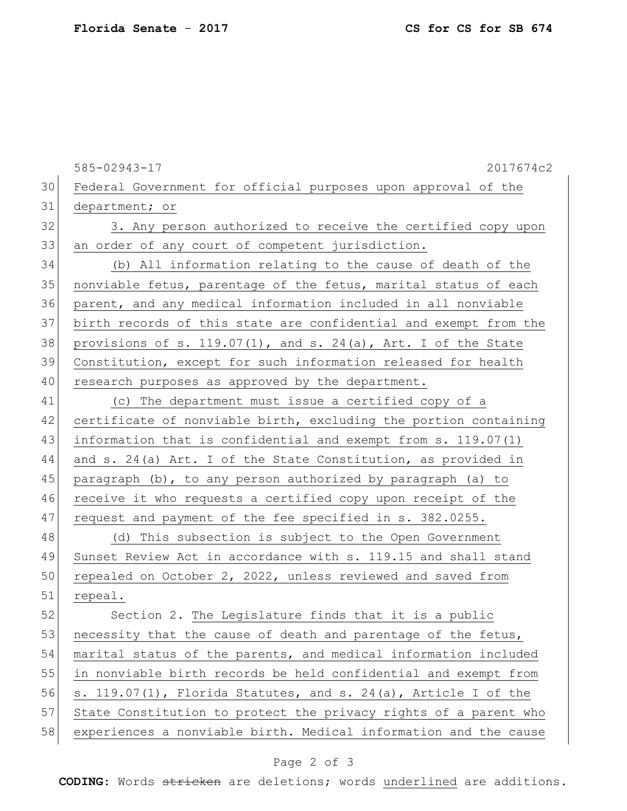|    | 585-02943-17<br>2017674c2                                           |
|----|---------------------------------------------------------------------|
| 30 | Federal Government for official purposes upon approval of the       |
| 31 | department; or                                                      |
| 32 | 3. Any person authorized to receive the certified copy upon         |
| 33 | an order of any court of competent jurisdiction.                    |
| 34 | (b) All information relating to the cause of death of the           |
| 35 | nonviable fetus, parentage of the fetus, marital status of each     |
| 36 | parent, and any medical information included in all nonviable       |
| 37 | birth records of this state are confidential and exempt from the    |
| 38 | provisions of s. $119.07(1)$ , and s. $24(a)$ , Art. I of the State |
| 39 | Constitution, except for such information released for health       |
| 40 | research purposes as approved by the department.                    |
| 41 | (c) The department must issue a certified copy of a                 |
| 42 | certificate of nonviable birth, excluding the portion containing    |
| 43 | information that is confidential and exempt from s. 119.07(1)       |
| 44 | and s. 24(a) Art. I of the State Constitution, as provided in       |
| 45 | paragraph (b), to any person authorized by paragraph (a) to         |
| 46 | receive it who requests a certified copy upon receipt of the        |
| 47 | request and payment of the fee specified in s. 382.0255.            |
| 48 | (d) This subsection is subject to the Open Government               |
| 49 | Sunset Review Act in accordance with s. 119.15 and shall stand      |
| 50 | repealed on October 2, 2022, unless reviewed and saved from         |
| 51 | repeal.                                                             |
| 52 | Section 2. The Legislature finds that it is a public                |
| 53 | necessity that the cause of death and parentage of the fetus,       |
| 54 | marital status of the parents, and medical information included     |
| 55 | in nonviable birth records be held confidential and exempt from     |
| 56 | s. 119.07(1), Florida Statutes, and s. 24(a), Article I of the      |
| 57 | State Constitution to protect the privacy rights of a parent who    |
| 58 | experiences a nonviable birth. Medical information and the cause    |

## Page 2 of 3

**CODING**: Words stricken are deletions; words underlined are additions.